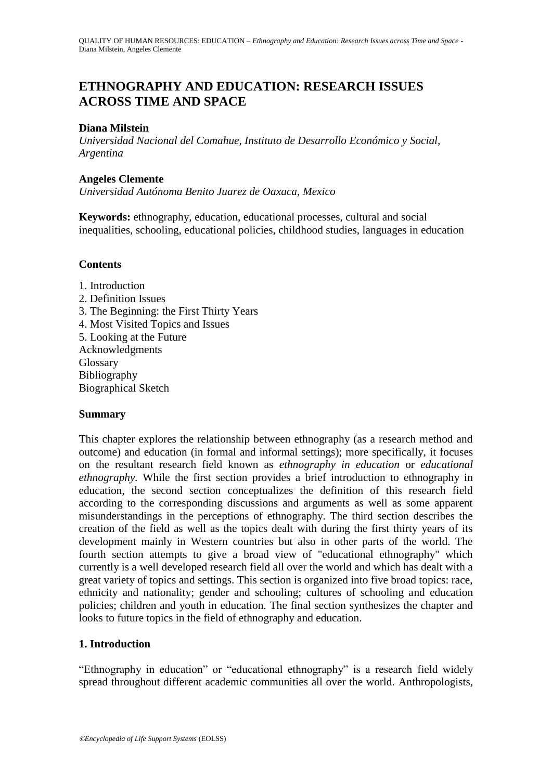# **ETHNOGRAPHY AND EDUCATION: RESEARCH ISSUES ACROSS TIME AND SPACE**

# **Diana Milstein**

*Universidad Nacional del Comahue, Instituto de Desarrollo Económico y Social, Argentina*

### **Angeles Clemente**

*Universidad Autónoma Benito Juarez de Oaxaca, Mexico*

**Keywords:** ethnography, education, educational processes, cultural and social inequalities, schooling, educational policies, childhood studies, languages in education

### **Contents**

1. Introduction 2. Definition Issues 3. The Beginning: the First Thirty Years 4. Most Visited Topics and Issues 5. Looking at the Future Acknowledgments Glossary Bibliography Biographical Sketch

# **Summary**

This chapter explores the relationship between ethnography (as a research method and outcome) and education (in formal and informal settings); more specifically, it focuses on the resultant research field known as *ethnography in education* or *educational ethnography.* While the first section provides a brief introduction to ethnography in education, the second section conceptualizes the definition of this research field according to the corresponding discussions and arguments as well as some apparent misunderstandings in the perceptions of ethnography. The third section describes the creation of the field as well as the topics dealt with during the first thirty years of its development mainly in Western countries but also in other parts of the world. The fourth section attempts to give a broad view of "educational ethnography" which currently is a well developed research field all over the world and which has dealt with a great variety of topics and settings. This section is organized into five broad topics: race, ethnicity and nationality; gender and schooling; cultures of schooling and education policies; children and youth in education. The final section synthesizes the chapter and looks to future topics in the field of ethnography and education.

# **1. Introduction**

"Ethnography in education" or "educational ethnography" is a research field widely spread throughout different academic communities all over the world. Anthropologists,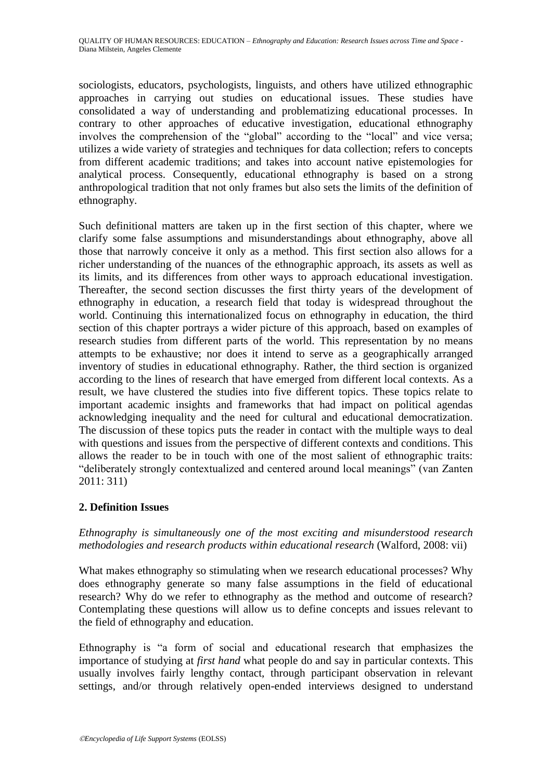sociologists, educators, psychologists, linguists, and others have utilized ethnographic approaches in carrying out studies on educational issues. These studies have consolidated a way of understanding and problematizing educational processes. In contrary to other approaches of educative investigation, educational ethnography involves the comprehension of the "global" according to the "local" and vice versa; utilizes a wide variety of strategies and techniques for data collection; refers to concepts from different academic traditions; and takes into account native epistemologies for analytical process. Consequently, educational ethnography is based on a strong anthropological tradition that not only frames but also sets the limits of the definition of ethnography.

Such definitional matters are taken up in the first section of this chapter, where we clarify some false assumptions and misunderstandings about ethnography, above all those that narrowly conceive it only as a method. This first section also allows for a richer understanding of the nuances of the ethnographic approach, its assets as well as its limits, and its differences from other ways to approach educational investigation. Thereafter, the second section discusses the first thirty years of the development of ethnography in education, a research field that today is widespread throughout the world. Continuing this internationalized focus on ethnography in education, the third section of this chapter portrays a wider picture of this approach, based on examples of research studies from different parts of the world. This representation by no means attempts to be exhaustive; nor does it intend to serve as a geographically arranged inventory of studies in educational ethnography. Rather, the third section is organized according to the lines of research that have emerged from different local contexts. As a result, we have clustered the studies into five different topics. These topics relate to important academic insights and frameworks that had impact on political agendas acknowledging inequality and the need for cultural and educational democratization. The discussion of these topics puts the reader in contact with the multiple ways to deal with questions and issues from the perspective of different contexts and conditions. This allows the reader to be in touch with one of the most salient of ethnographic traits: "deliberately strongly contextualized and centered around local meanings" (van Zanten 2011: 311)

# **2. Definition Issues**

*Ethnography is simultaneously one of the most exciting and misunderstood research methodologies and research products within educational research* (Walford, 2008: vii)

What makes ethnography so stimulating when we research educational processes? Why does ethnography generate so many false assumptions in the field of educational research? Why do we refer to ethnography as the method and outcome of research? Contemplating these questions will allow us to define concepts and issues relevant to the field of ethnography and education.

Ethnography is "a form of social and educational research that emphasizes the importance of studying at *first hand* what people do and say in particular contexts. This usually involves fairly lengthy contact, through participant observation in relevant settings, and/or through relatively open-ended interviews designed to understand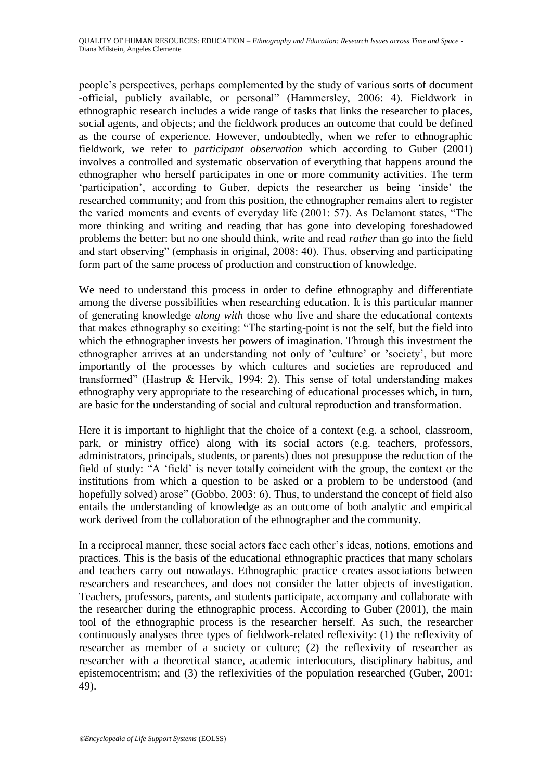people's perspectives, perhaps complemented by the study of various sorts of document -official, publicly available, or personal" (Hammersley, 2006: 4). Fieldwork in ethnographic research includes a wide range of tasks that links the researcher to places, social agents, and objects; and the fieldwork produces an outcome that could be defined as the course of experience. However, undoubtedly, when we refer to ethnographic fieldwork, we refer to *participant observation* which according to Guber (2001) involves a controlled and systematic observation of everything that happens around the ethnographer who herself participates in one or more community activities. The term 'participation', according to Guber, depicts the researcher as being 'inside' the researched community; and from this position, the ethnographer remains alert to register the varied moments and events of everyday life  $(2001: 57)$ . As Delamont states, "The more thinking and writing and reading that has gone into developing foreshadowed problems the better: but no one should think, write and read *rather* than go into the field and start observing" (emphasis in original, 2008: 40). Thus, observing and participating form part of the same process of production and construction of knowledge.

We need to understand this process in order to define ethnography and differentiate among the diverse possibilities when researching education. It is this particular manner of generating knowledge *along with* those who live and share the educational contexts that makes ethnography so exciting: "The starting-point is not the self, but the field into which the ethnographer invests her powers of imagination. Through this investment the ethnographer arrives at an understanding not only of 'culture' or 'society', but more importantly of the processes by which cultures and societies are reproduced and transformed" (Hastrup & Hervik, 1994: 2). This sense of total understanding makes ethnography very appropriate to the researching of educational processes which, in turn, are basic for the understanding of social and cultural reproduction and transformation.

Here it is important to highlight that the choice of a context (e.g. a school, classroom, park, or ministry office) along with its social actors (e.g. teachers, professors, administrators, principals, students, or parents) does not presuppose the reduction of the field of study: "A 'field' is never totally coincident with the group, the context or the institutions from which a question to be asked or a problem to be understood (and hopefully solved) arose" (Gobbo, 2003: 6). Thus, to understand the concept of field also entails the understanding of knowledge as an outcome of both analytic and empirical work derived from the collaboration of the ethnographer and the community.

In a reciprocal manner, these social actors face each other's ideas, notions, emotions and practices. This is the basis of the educational ethnographic practices that many scholars and teachers carry out nowadays. Ethnographic practice creates associations between researchers and researchees, and does not consider the latter objects of investigation. Teachers, professors, parents, and students participate, accompany and collaborate with the researcher during the ethnographic process. According to Guber (2001), the main tool of the ethnographic process is the researcher herself. As such, the researcher continuously analyses three types of fieldwork-related reflexivity: (1) the reflexivity of researcher as member of a society or culture; (2) the reflexivity of researcher as researcher with a theoretical stance, academic interlocutors, disciplinary habitus, and epistemocentrism; and (3) the reflexivities of the population researched (Guber, 2001: 49).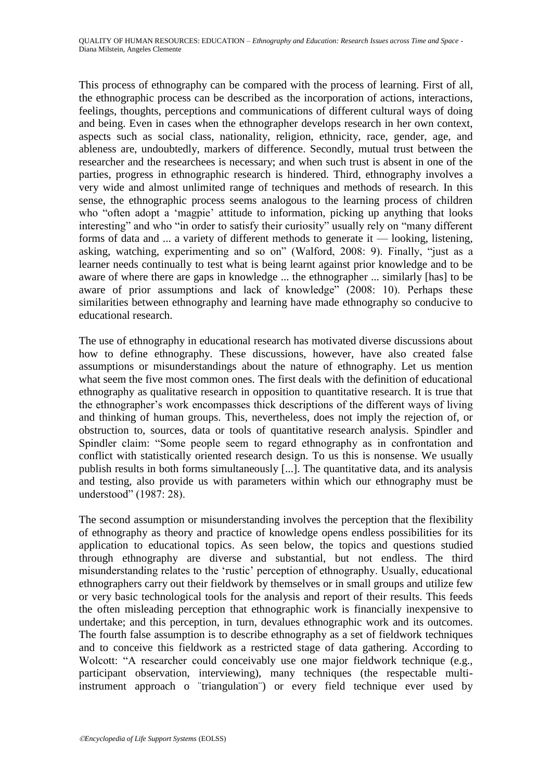This process of ethnography can be compared with the process of learning. First of all, the ethnographic process can be described as the incorporation of actions, interactions, feelings, thoughts, perceptions and communications of different cultural ways of doing and being. Even in cases when the ethnographer develops research in her own context, aspects such as social class, nationality, religion, ethnicity, race, gender, age, and ableness are, undoubtedly, markers of difference. Secondly, mutual trust between the researcher and the researchees is necessary; and when such trust is absent in one of the parties, progress in ethnographic research is hindered. Third, ethnography involves a very wide and almost unlimited range of techniques and methods of research. In this sense, the ethnographic process seems analogous to the learning process of children who "often adopt a 'magpie' attitude to information, picking up anything that looks interesting" and who "in order to satisfy their curiosity" usually rely on "many different forms of data and ... a variety of different methods to generate it — looking, listening, asking, watching, experimenting and so on" (Walford, 2008: 9). Finally, "just as a learner needs continually to test what is being learnt against prior knowledge and to be aware of where there are gaps in knowledge ... the ethnographer ... similarly [has] to be aware of prior assumptions and lack of knowledge"  $(2008: 10)$ . Perhaps these similarities between ethnography and learning have made ethnography so conducive to educational research.

The use of ethnography in educational research has motivated diverse discussions about how to define ethnography. These discussions, however, have also created false assumptions or misunderstandings about the nature of ethnography. Let us mention what seem the five most common ones. The first deals with the definition of educational ethnography as qualitative research in opposition to quantitative research. It is true that the ethnographer's work encompasses thick descriptions of the different ways of living and thinking of human groups. This, nevertheless, does not imply the rejection of, or obstruction to, sources, data or tools of quantitative research analysis. Spindler and Spindler claim: "Some people seem to regard ethnography as in confrontation and conflict with statistically oriented research design. To us this is nonsense. We usually publish results in both forms simultaneously [...]. The quantitative data, and its analysis and testing, also provide us with parameters within which our ethnography must be understood" (1987: 28).

The second assumption or misunderstanding involves the perception that the flexibility of ethnography as theory and practice of knowledge opens endless possibilities for its application to educational topics. As seen below, the topics and questions studied through ethnography are diverse and substantial, but not endless. The third misunderstanding relates to the 'rustic' perception of ethnography. Usually, educational ethnographers carry out their fieldwork by themselves or in small groups and utilize few or very basic technological tools for the analysis and report of their results. This feeds the often misleading perception that ethnographic work is financially inexpensive to undertake; and this perception, in turn, devalues ethnographic work and its outcomes. The fourth false assumption is to describe ethnography as a set of fieldwork techniques and to conceive this fieldwork as a restricted stage of data gathering. According to Wolcott: "A researcher could conceivably use one major fieldwork technique (e.g., participant observation, interviewing), many techniques (the respectable multiinstrument approach o ¨triangulation¨) or every field technique ever used by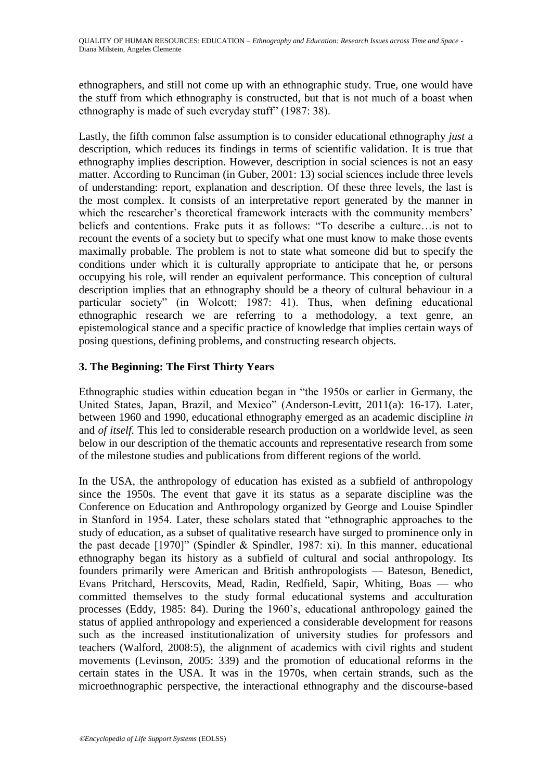ethnographers, and still not come up with an ethnographic study. True, one would have the stuff from which ethnography is constructed, but that is not much of a boast when ethnography is made of such everyday stuff" (1987: 38).

Lastly, the fifth common false assumption is to consider educational ethnography *just* a description, which reduces its findings in terms of scientific validation. It is true that ethnography implies description. However, description in social sciences is not an easy matter. According to Runciman (in Guber, 2001: 13) social sciences include three levels of understanding: report, explanation and description. Of these three levels, the last is the most complex. It consists of an interpretative report generated by the manner in which the researcher's theoretical framework interacts with the community members' beliefs and contentions. Frake puts it as follows: "To describe a culture... is not to recount the events of a society but to specify what one must know to make those events maximally probable. The problem is not to state what someone did but to specify the conditions under which it is culturally appropriate to anticipate that he, or persons occupying his role, will render an equivalent performance. This conception of cultural description implies that an ethnography should be a theory of cultural behaviour in a particular society" (in Wolcott; 1987: 41). Thus, when defining educational ethnographic research we are referring to a methodology, a text genre, an epistemological stance and a specific practice of knowledge that implies certain ways of posing questions, defining problems, and constructing research objects.

# **3. The Beginning: The First Thirty Years**

Ethnographic studies within education began in "the 1950s or earlier in Germany, the United States, Japan, Brazil, and Mexico" (Anderson-Levitt, 2011(a): 16-17). Later, between 1960 and 1990, educational ethnography emerged as an academic discipline *in*  and *of itself.* This led to considerable research production on a worldwide level, as seen below in our description of the thematic accounts and representative research from some of the milestone studies and publications from different regions of the world.

In the USA, the anthropology of education has existed as a subfield of anthropology since the 1950s. The event that gave it its status as a separate discipline was the Conference on Education and Anthropology organized by George and Louise Spindler in Stanford in 1954. Later, these scholars stated that "ethnographic approaches to the study of education, as a subset of qualitative research have surged to prominence only in the past decade [1970]" (Spindler & Spindler, 1987: xi). In this manner, educational ethnography began its history as a subfield of cultural and social anthropology. Its founders primarily were American and British anthropologists — Bateson, Benedict, Evans Pritchard, Herscovits, Mead, Radin, Redfield, Sapir, Whiting, Boas — who committed themselves to the study formal educational systems and acculturation processes (Eddy, 1985: 84). During the 1960's, educational anthropology gained the status of applied anthropology and experienced a considerable development for reasons such as the increased institutionalization of university studies for professors and teachers (Walford, 2008:5), the alignment of academics with civil rights and student movements (Levinson, 2005: 339) and the promotion of educational reforms in the certain states in the USA. It was in the 1970s, when certain strands, such as the microethnographic perspective, the interactional ethnography and the discourse-based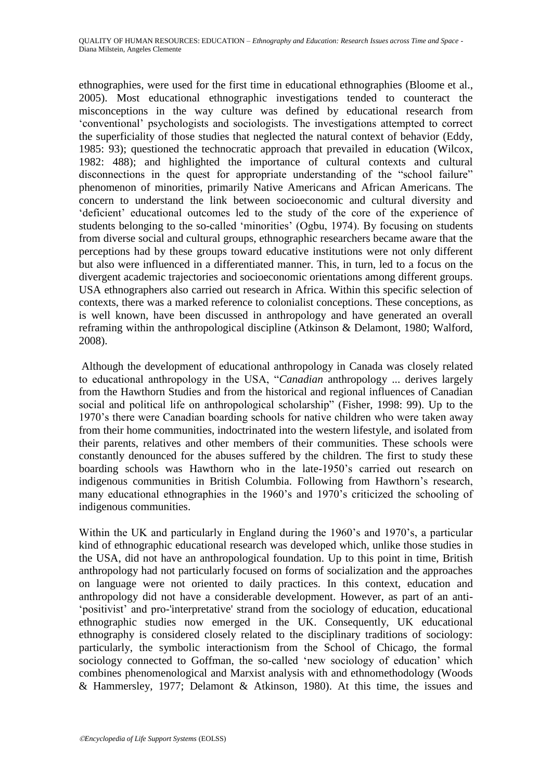ethnographies, were used for the first time in educational ethnographies (Bloome et al., 2005). Most educational ethnographic investigations tended to counteract the misconceptions in the way culture was defined by educational research from ‗conventional' psychologists and sociologists. The investigations attempted to correct the superficiality of those studies that neglected the natural context of behavior (Eddy, 1985: 93); questioned the technocratic approach that prevailed in education (Wilcox, 1982: 488); and highlighted the importance of cultural contexts and cultural disconnections in the quest for appropriate understanding of the "school failure" phenomenon of minorities, primarily Native Americans and African Americans. The concern to understand the link between socioeconomic and cultural diversity and 'deficient' educational outcomes led to the study of the core of the experience of students belonging to the so-called 'minorities' (Ogbu, 1974). By focusing on students from diverse social and cultural groups, ethnographic researchers became aware that the perceptions had by these groups toward educative institutions were not only different but also were influenced in a differentiated manner. This, in turn, led to a focus on the divergent academic trajectories and socioeconomic orientations among different groups. USA ethnographers also carried out research in Africa. Within this specific selection of contexts, there was a marked reference to colonialist conceptions. These conceptions, as is well known, have been discussed in anthropology and have generated an overall reframing within the anthropological discipline (Atkinson & Delamont, 1980; Walford, 2008).

Although the development of educational anthropology in Canada was closely related to educational anthropology in the USA, "Canadian anthropology ... derives largely from the Hawthorn Studies and from the historical and regional influences of Canadian social and political life on anthropological scholarship" (Fisher, 1998: 99). Up to the 1970's there were Canadian boarding schools for native children who were taken away from their home communities, indoctrinated into the western lifestyle, and isolated from their parents, relatives and other members of their communities. These schools were constantly denounced for the abuses suffered by the children. The first to study these boarding schools was Hawthorn who in the late-1950's carried out research on indigenous communities in British Columbia. Following from Hawthorn's research, many educational ethnographies in the 1960's and 1970's criticized the schooling of indigenous communities.

Within the UK and particularly in England during the 1960's and 1970's, a particular kind of ethnographic educational research was developed which, unlike those studies in the USA, did not have an anthropological foundation. Up to this point in time, British anthropology had not particularly focused on forms of socialization and the approaches on language were not oriented to daily practices. In this context, education and anthropology did not have a considerable development. However, as part of an anti- ‗positivist' and pro-'interpretative' strand from the sociology of education, educational ethnographic studies now emerged in the UK. Consequently, UK educational ethnography is considered closely related to the disciplinary traditions of sociology: particularly, the symbolic interactionism from the School of Chicago, the formal sociology connected to Goffman, the so-called 'new sociology of education' which combines phenomenological and Marxist analysis with and ethnomethodology (Woods & Hammersley, 1977; Delamont & Atkinson, 1980). At this time, the issues and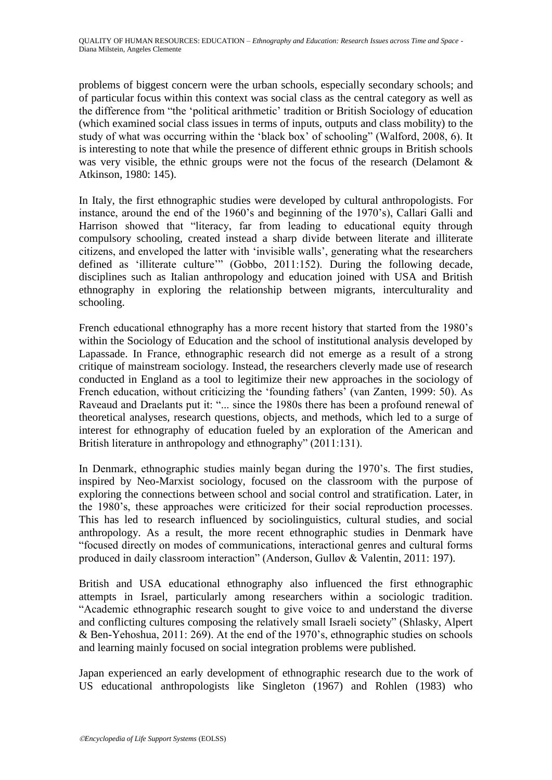problems of biggest concern were the urban schools, especially secondary schools; and of particular focus within this context was social class as the central category as well as the difference from "the 'political arithmetic' tradition or British Sociology of education (which examined social class issues in terms of inputs, outputs and class mobility) to the study of what was occurring within the 'black box' of schooling" (Walford, 2008, 6). It is interesting to note that while the presence of different ethnic groups in British schools was very visible, the ethnic groups were not the focus of the research (Delamont  $\&$ Atkinson, 1980: 145).

In Italy, the first ethnographic studies were developed by cultural anthropologists. For instance, around the end of the 1960's and beginning of the 1970's), Callari Galli and Harrison showed that "literacy, far from leading to educational equity through compulsory schooling, created instead a sharp divide between literate and illiterate citizens, and enveloped the latter with ‗invisible walls', generating what the researchers defined as 'illiterate culture'" (Gobbo, 2011:152). During the following decade, disciplines such as Italian anthropology and education joined with USA and British ethnography in exploring the relationship between migrants, interculturality and schooling.

French educational ethnography has a more recent history that started from the 1980's within the Sociology of Education and the school of institutional analysis developed by Lapassade. In France, ethnographic research did not emerge as a result of a strong critique of mainstream sociology. Instead, the researchers cleverly made use of research conducted in England as a tool to legitimize their new approaches in the sociology of French education, without criticizing the 'founding fathers' (van Zanten, 1999: 50). As Raveaud and Draelants put it: "... since the 1980s there has been a profound renewal of theoretical analyses, research questions, objects, and methods, which led to a surge of interest for ethnography of education fueled by an exploration of the American and British literature in anthropology and ethnography" (2011:131).

In Denmark, ethnographic studies mainly began during the 1970's. The first studies, inspired by Neo-Marxist sociology, focused on the classroom with the purpose of exploring the connections between school and social control and stratification. Later, in the 1980's, these approaches were criticized for their social reproduction processes. This has led to research influenced by sociolinguistics, cultural studies, and social anthropology. As a result, the more recent ethnographic studies in Denmark have ―focused directly on modes of communications, interactional genres and cultural forms produced in daily classroom interaction" (Anderson, Gulløv & Valentin, 2011: 197).

British and USA educational ethnography also influenced the first ethnographic attempts in Israel, particularly among researchers within a sociologic tradition. ―Academic ethnographic research sought to give voice to and understand the diverse and conflicting cultures composing the relatively small Israeli society" (Shlasky, Alpert & Ben-Yehoshua, 2011: 269). At the end of the 1970's, ethnographic studies on schools and learning mainly focused on social integration problems were published.

Japan experienced an early development of ethnographic research due to the work of US educational anthropologists like Singleton (1967) and Rohlen (1983) who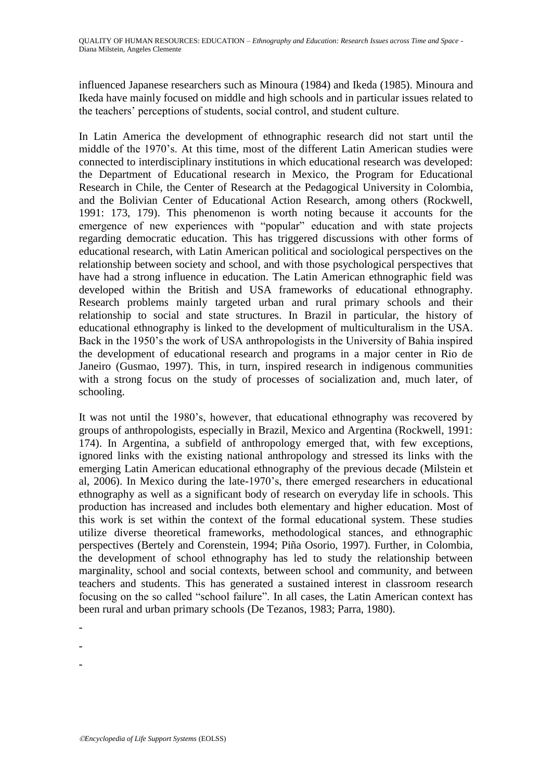influenced Japanese researchers such as Minoura (1984) and Ikeda (1985). Minoura and Ikeda have mainly focused on middle and high schools and in particular issues related to the teachers' perceptions of students, social control, and student culture.

In Latin America the development of ethnographic research did not start until the middle of the 1970's. At this time, most of the different Latin American studies were connected to interdisciplinary institutions in which educational research was developed: the Department of Educational research in Mexico, the Program for Educational Research in Chile, the Center of Research at the Pedagogical University in Colombia, and the Bolivian Center of Educational Action Research, among others (Rockwell, 1991: 173, 179). This phenomenon is worth noting because it accounts for the emergence of new experiences with "popular" education and with state projects regarding democratic education. This has triggered discussions with other forms of educational research, with Latin American political and sociological perspectives on the relationship between society and school, and with those psychological perspectives that have had a strong influence in education. The Latin American ethnographic field was developed within the British and USA frameworks of educational ethnography. Research problems mainly targeted urban and rural primary schools and their relationship to social and state structures. In Brazil in particular, the history of educational ethnography is linked to the development of multiculturalism in the USA. Back in the 1950's the work of USA anthropologists in the University of Bahia inspired the development of educational research and programs in a major center in Rio de Janeiro (Gusmao, 1997). This, in turn, inspired research in indigenous communities with a strong focus on the study of processes of socialization and, much later, of schooling.

It was not until the 1980's, however, that educational ethnography was recovered by groups of anthropologists, especially in Brazil, Mexico and Argentina (Rockwell, 1991: 174). In Argentina, a subfield of anthropology emerged that, with few exceptions, ignored links with the existing national anthropology and stressed its links with the emerging Latin American educational ethnography of the previous decade (Milstein et al, 2006). In Mexico during the late-1970's, there emerged researchers in educational ethnography as well as a significant body of research on everyday life in schools. This production has increased and includes both elementary and higher education. Most of this work is set within the context of the formal educational system. These studies utilize diverse theoretical frameworks, methodological stances, and ethnographic perspectives (Bertely and Corenstein, 1994; Piña Osorio, 1997). Further, in Colombia, the development of school ethnography has led to study the relationship between marginality, school and social contexts, between school and community, and between teachers and students. This has generated a sustained interest in classroom research focusing on the so called "school failure". In all cases, the Latin American context has been rural and urban primary schools (De Tezanos, 1983; Parra, 1980).

-

-

-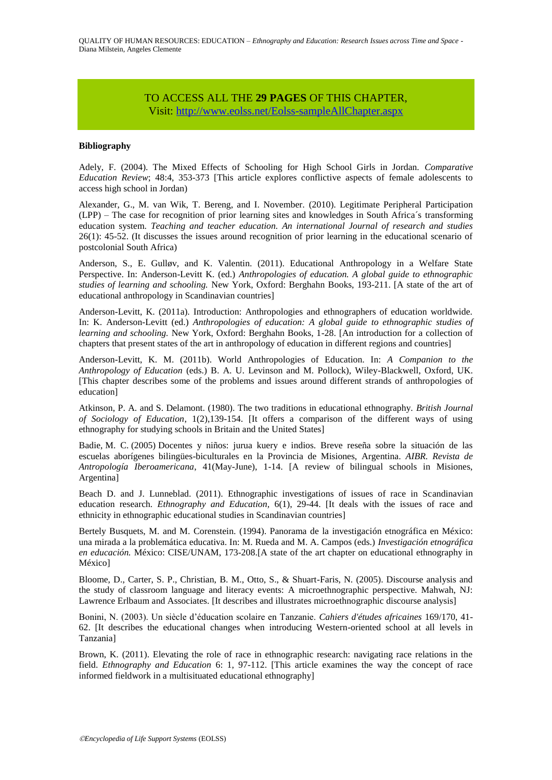# TO ACCESS ALL THE **29 PAGES** OF THIS CHAPTER,

Vis[it:](https://www.eolss.net/ebooklib/sc_cart.aspx?File=E1-12-31) <http://www.eolss.net/Eolss-sampleAllChapter.aspx>

### **Bibliography**

Adely, F. (2004). The Mixed Effects of Schooling for High School Girls in Jordan. *Comparative Education Review*; 48:4, 353-373 [This article explores conflictive aspects of female adolescents to access high school in Jordan)

Alexander, G., M. van Wik, T. Bereng, and I. November. (2010). Legitimate Peripheral Participation (LPP) – The case for recognition of prior learning sites and knowledges in South Africa´s transforming education system. *Teaching and teacher education. An international Journal of research and studies*  26(1): 45-52. (It discusses the issues around recognition of prior learning in the educational scenario of postcolonial South Africa)

Anderson, S., E. Gulløv, and K. Valentin. (2011). Educational Anthropology in a Welfare State Perspective. In: Anderson-Levitt K. (ed.) *Anthropologies of education. A global guide to ethnographic studies of learning and schooling.* New York, Oxford: Berghahn Books, 193-211. [A state of the art of educational anthropology in Scandinavian countries]

Anderson-Levitt, K. (2011a). Introduction: Anthropologies and ethnographers of education worldwide. In: K. Anderson-Levitt (ed.) *Anthropologies of education: A global guide to ethnographic studies of learning and schooling.* New York, Oxford: Berghahn Books, 1-28. [An introduction for a collection of chapters that present states of the art in anthropology of education in different regions and countries]

Anderson-Levitt, K. M. (2011b). World Anthropologies of Education. In: *A Companion to the Anthropology of Education* (eds.) B. A. U. Levinson and M. Pollock), Wiley-Blackwell, Oxford, UK. [This chapter describes some of the problems and issues around different strands of anthropologies of education]

Atkinson, P. A. and S. Delamont. (1980). The two traditions in educational ethnography. *British Journal of Sociology of Education*, 1(2),139-154. [It offers a comparison of the different ways of using ethnography for studying schools in Britain and the United States]

Badie, M. C. (2005) Docentes y niños: jurua kuery e indios. Breve reseña sobre la situación de las escuelas aborígenes bilingües-biculturales en la Provincia de Misiones, Argentina. *AIBR. Revista de Antropología Iberoamericana*, 41(May-June), 1-14. [A review of bilingual schools in Misiones, Argentina]

Beach D. and J. Lunneblad. (2011). Ethnographic investigations of issues of race in Scandinavian education research. *Ethnography and Education,* 6(1), 29-44. [It deals with the issues of race and ethnicity in ethnographic educational studies in Scandinavian countries]

Bertely Busquets, M. and M. Corenstein. (1994). Panorama de la investigación etnográfica en México: una mirada a la problemática educativa. In: M. Rueda and M. A. Campos (eds.) *Investigación etnográfica en educación.* México: CISE/UNAM, 173-208.[A state of the art chapter on educational ethnography in México]

Bloome, D., Carter, S. P., Christian, B. M., Otto, S., & Shuart-Faris, N. (2005). Discourse analysis and the study of classroom language and literacy events: A microethnographic perspective. Mahwah, NJ: Lawrence Erlbaum and Associates. [It describes and illustrates microethnographic discourse analysis]

Bonini, N. (2003). Un siècle d'éducation scolaire en Tanzanie. *Cahiers d'études africaines* 169/170, 41- 62. [It describes the educational changes when introducing Western-oriented school at all levels in Tanzania]

Brown, K. (2011). Elevating the role of race in ethnographic research: navigating race relations in the field. *Ethnography and Education* 6: 1, 97-112. [This article examines the way the concept of race informed fieldwork in a multisituated educational ethnography]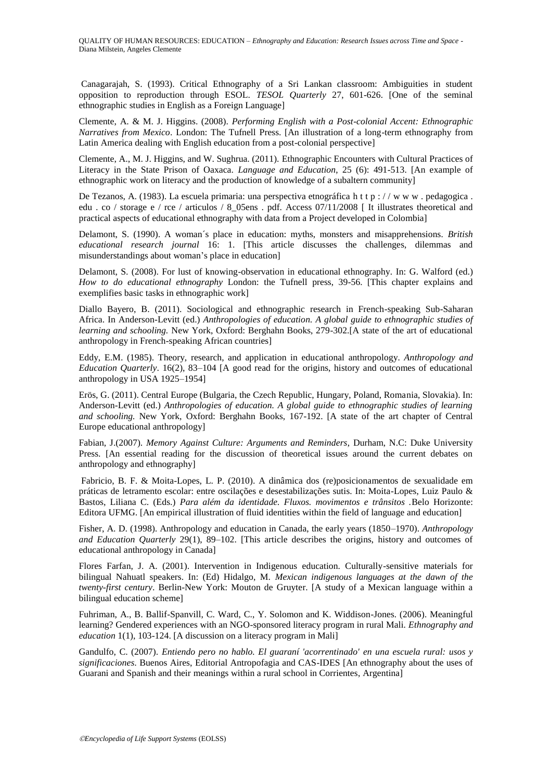Canagarajah, S. (1993). Critical Ethnography of a Sri Lankan classroom: Ambiguities in student opposition to reproduction through ESOL. *TESOL Quarterly* 27, 601-626. [One of the seminal ethnographic studies in English as a Foreign Language]

Clemente, A. & M. J. Higgins. (2008). *Performing English with a Post-colonial Accent: Ethnographic Narratives from Mexico*. London: The Tufnell Press. [An illustration of a long-term ethnography from Latin America dealing with English education from a post-colonial perspective]

Clemente, A., M. J. Higgins, and W. Sughrua. (2011). Ethnographic Encounters with Cultural Practices of Literacy in the State Prison of Oaxaca. *Language and Education*, 25 (6): 491-513. [An example of ethnographic work on literacy and the production of knowledge of a subaltern community]

De Tezanos, A. (1983). La escuela primaria: una perspectiva etnográfica h t t p : / w w w . pedagogica . edu . co / storage e / rce / articulos / 8\_05ens . pdf. Access 07/11/2008 [ It illustrates theoretical and practical aspects of educational ethnography with data from a Project developed in Colombia]

Delamont, S. (1990). A woman´s place in education: myths, monsters and misapprehensions. *British educational research journal* 16: 1. [This article discusses the challenges, dilemmas and misunderstandings about woman's place in education]

Delamont, S. (2008). For lust of knowing-observation in educational ethnography. In: G. Walford (ed.) *How to do educational ethnography* London: the Tufnell press, 39-56. [This chapter explains and exemplifies basic tasks in ethnographic work]

Diallo Bayero, B. (2011). Sociological and ethnographic research in French-speaking Sub-Saharan Africa. In Anderson-Levitt (ed.) *Anthropologies of education. A global guide to ethnographic studies of learning and schooling.* New York, Oxford: Berghahn Books, 279-302.[A state of the art of educational anthropology in French-speaking African countries]

Eddy, E.M. (1985). Theory, research, and application in educational anthropology. *Anthropology and Education Quarterly*. 16(2), 83–104 [A good read for the origins, history and outcomes of educational anthropology in USA 1925–1954]

Erös, G. (2011). Central Europe (Bulgaria, the Czech Republic, Hungary, Poland, Romania, Slovakia). In: Anderson-Levitt (ed.) *Anthropologies of education. A global guide to ethnographic studies of learning and schooling.* New York, Oxford: Berghahn Books, 167-192. [A state of the art chapter of Central Europe educational anthropology]

Fabian, J.(2007). *Memory Against Culture: Arguments and Reminders*, Durham, N.C: Duke University Press. [An essential reading for the discussion of theoretical issues around the current debates on anthropology and ethnography]

Fabricio, B. F. & Moita-Lopes, L. P. (2010). A dinâmica dos (re)posicionamentos de sexualidade em práticas de letramento escolar: entre oscilações e desestabilizações sutis. In: Moita-Lopes, Luiz Paulo & Bastos, Liliana C. (Eds.) *Para além da identidade. Fluxos. movimentos e trânsitos .*Belo Horizonte: Editora UFMG. [An empirical illustration of fluid identities within the field of language and education]

Fisher, A. D. (1998). Anthropology and education in Canada, the early years (1850–1970). *Anthropology and Education Quarterly* 29(1), 89–102. [This article describes the origins, history and outcomes of educational anthropology in Canada]

Flores Farfan, J. A. (2001). Intervention in Indigenous education. Culturally-sensitive materials for bilingual Nahuatl speakers. In: (Ed) Hidalgo, M. *Mexican indigenous languages at the dawn of the twenty-first century*. Berlin-New York: Mouton de Gruyter. [A study of a Mexican language within a bilingual education scheme]

Fuhriman, A., B. Ballif-Spanvill, C. Ward, C., Y. Solomon and K. Widdison-Jones. (2006). Meaningful learning? Gendered experiences with an NGO-sponsored literacy program in rural Mali. *Ethnography and education* 1(1), 103-124. [A discussion on a literacy program in Mali]

Gandulfo, C. (2007). *Entiendo pero no hablo. El guaraní 'acorrentinado' en una escuela rural: usos y significaciones*. Buenos Aires, Editorial Antropofagia and CAS-IDES [An ethnography about the uses of Guarani and Spanish and their meanings within a rural school in Corrientes, Argentina]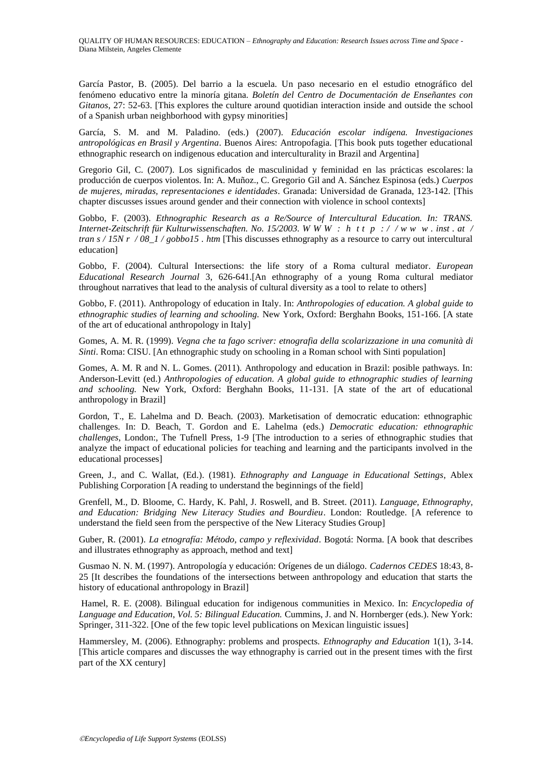García Pastor, B. (2005). Del barrio a la escuela. Un paso necesario en el estudio etnográfico del fenómeno educativo entre la minoría gitana. *Boletín del Centro de Documentación de Enseñantes con Gitanos*, 27: 52-63. [This explores the culture around quotidian interaction inside and outside the school of a Spanish urban neighborhood with gypsy minorities]

García, S. M. and M. Paladino. (eds.) (2007). *Educación escolar indígena. Investigaciones antropológicas en Brasil y Argentina*. Buenos Aires: Antropofagia. [This book puts together educational ethnographic research on indigenous education and interculturality in Brazil and Argentina]

Gregorio Gil, C. (2007). [Los significados de masculinidad y feminidad en las prácticas escolares:](http://dialnet.unirioja.es/servlet/articulo?codigo=2596713) la producción de cuerpos violentos. In: A. Muñoz., C. Gregorio Gil and A. Sánchez Espinosa (eds.) *Cuerpos de mujeres, miradas, representaciones e identidades*. Granada: Universidad de Granada, 123-142. [This chapter discusses issues around gender and their connection with violence in school contexts]

Gobbo, F. (2003). *Ethnographic Research as a Re/Source of Intercultural Education. In: TRANS. Internet-Zeitschrift für Kulturwissenschaften. No. 15/2003. W W W : h t [t p :](http://www.inst.at/trans/15Nr/08_1/gobbo15.htm) / / w w w . inst . at / tran s / 15N r / 08\_1 / [gobbo15](http://www.inst.at/trans/15Nr/08_1/gobbo15.htm) . htm* [This discusses ethnography as a resource to carry out intercultural education]

Gobbo, F. (2004). Cultural Intersections: the life story of a Roma cultural mediator. *European Educational Research Journal* 3, 626-641.[An ethnography of a young Roma cultural mediator throughout narratives that lead to the analysis of cultural diversity as a tool to relate to others]

Gobbo, F. (2011). Anthropology of education in Italy. In: *Anthropologies of education. A global guide to ethnographic studies of learning and schooling.* New York, Oxford: Berghahn Books, 151-166. [A state of the art of educational anthropology in Italy]

Gomes, A. M. R. (1999). *Vegna che ta fago scriver: etnografia della scolarizzazione in una comunità di Sinti*. Roma: CISU. [An ethnographic study on schooling in a Roman school with Sinti population]

Gomes, A. M. R and N. L. Gomes. (2011). Anthropology and education in Brazil: posible pathways. In: Anderson-Levitt (ed.) *Anthropologies of education. A global guide to ethnographic studies of learning and schooling.* New York, Oxford: Berghahn Books, 11-131. [A state of the art of educational anthropology in Brazil]

Gordon, T., E. Lahelma and D. Beach. (2003). Marketisation of democratic education: ethnographic challenges. In: D. Beach, T. Gordon and E. Lahelma (eds.) *Democratic education: ethnographic challenges*, London:, The Tufnell Press, 1-9 [The introduction to a series of ethnographic studies that analyze the impact of educational policies for teaching and learning and the participants involved in the educational processes]

[Green, J., and](http://eric.ed.gov/ERICWebPortal/search/simpleSearch.jsp;jsessionid=5Vy6aKEKajmqNrPMwYlPdw__.ericsrv003?_pageLabel=ERICSearchResult&_urlType=action&newSearch=true&ERICExtSearch_SearchType_0=au&ERICExtSearch_SearchValue_0=%22Green+Judith+L.%22) [C. Wallat, \(Ed.\)](http://eric.ed.gov/ERICWebPortal/search/simpleSearch.jsp;jsessionid=5Vy6aKEKajmqNrPMwYlPdw__.ericsrv003?_pageLabel=ERICSearchResult&_urlType=action&newSearch=true&ERICExtSearch_SearchType_0=au&ERICExtSearch_SearchValue_0=%22Wallat+Cynthia%22). (1981). *Ethnography and Language in Educational Settings*, Ablex Publishing Corporation [A reading to understand the beginnings of the field]

[Grenfell,](javascript:doAuthorSearch() M., D. [Bloome,](javascript:doAuthorSearch() C. [Hardy,](javascript:doAuthorSearch() K. [Pahl,](javascript:doAuthorSearch() J. [Roswell,](javascript:doAuthorSearch() and B. [Street.](javascript:doAuthorSearch() (2011). *Language, Ethnography, and Education: Bridging New Literacy Studies and Bourdieu*. London: Routledge. [A reference to understand the field seen from the perspective of the New Literacy Studies Group]

Guber, R. (2001). *La etnografía: Método, campo y reflexividad*. Bogotá: Norma. [A book that describes and illustrates ethnography as approach, method and text]

Gusmao N. N. M. (1997). Antropología y educación: Orígenes de un diálogo. *Cadernos CEDES* 18:43, 8- 25 [It describes the foundations of the intersections between anthropology and education that starts the history of educational anthropology in Brazil]

[Hamel, R. E. \(2008\). Bilingual education for indigenous communities in Mexico. In:](http://www.hamel.com.mx/Archivos-Publicaciones/2008b%20Bilingual%20Education%20for%20Indigenous%20Communities.pdf) *Encyclopedia of Language and Education*, *Vol. 5: Bilingual Education.* [Cummins, J. and N. Hornberger \(eds.\). New York:](http://www.hamel.com.mx/Archivos-Publicaciones/2008b%20Bilingual%20Education%20for%20Indigenous%20Communities.pdf)  [Springer, 311-322.](http://www.hamel.com.mx/Archivos-Publicaciones/2008b%20Bilingual%20Education%20for%20Indigenous%20Communities.pdf) [One of the few topic level publications on Mexican linguistic issues]

Hammersley, M. (2006). Ethnography: problems and prospects. *Ethnography and Education* 1(1), 3-14. [This article compares and discusses the way ethnography is carried out in the present times with the first part of the XX century]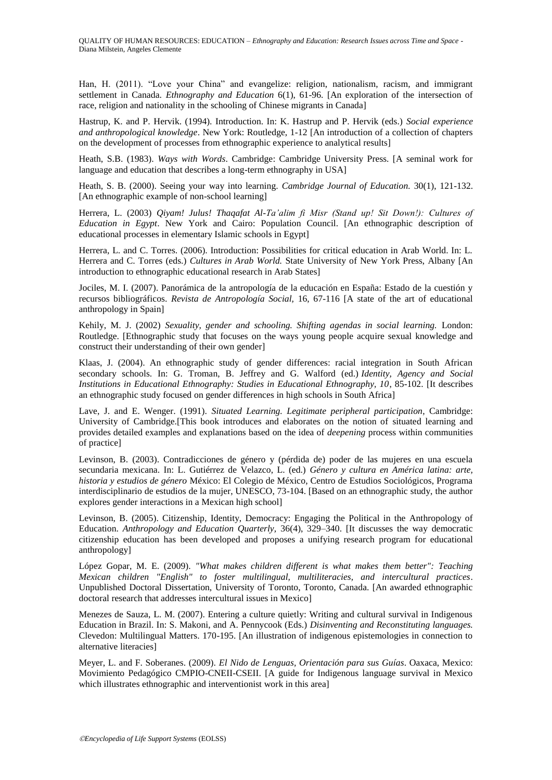Han, H. (2011). "Love your China" and evangelize: religion, nationalism, racism, and immigrant settlement in Canada. *Ethnography and Education* 6(1), 61-96. [An exploration of the intersection of race, religion and nationality in the schooling of Chinese migrants in Canada]

Hastrup, K. and P. Hervik. (1994). Introduction. In: K. Hastrup and P. Hervik (eds.) *Social experience and anthropological knowledge*. New York: Routledge, 1-12 [An introduction of a collection of chapters on the development of processes from ethnographic experience to analytical results]

Heath, S.B. (1983). *Ways with Words*. Cambridge: Cambridge University Press. [A seminal work for language and education that describes a long-term ethnography in USA]

Heath, S. B. (2000). Seeing your way into learning. *Cambridge Journal of Education.* 30(1), 121-132. [An ethnographic example of non-school learning]

Herrera, L. (2003) *Qiyam! Julus! Thaqafat Al-Ta'alim fi Misr (Stand up! Sit Down!): Cultures of Education in Egypt*. New York and Cairo: Population Council. [An ethnographic description of educational processes in elementary Islamic schools in Egypt]

Herrera, L. and C. Torres. (2006). Introduction: Possibilities for critical education in Arab World. In: L. Herrera and C. Torres (eds.) *Cultures in Arab World.* State University of New York Press, Albany [An introduction to ethnographic educational research in Arab States]

Jociles, M. I. (2007). Panorámica de la antropología de la educación en España: Estado de la cuestión y recursos bibliográficos. *Revista de Antropología Social,* 16, 67-116 [A state of the art of educational anthropology in Spain]

Kehily, M. J. (2002) *Sexuality, gender and schooling. Shifting agendas in social learning.* London: Routledge. [Ethnographic study that focuses on the ways young people acquire sexual knowledge and construct their understanding of their own gender]

Klaas, J. (2004). An ethnographic study of gender differences: racial integration in South African secondary schools. In: G. Troman, B. Jeffrey and G. Walford (ed.) *Identity, Agency and Social Institutions in Educational Ethnography: Studies in Educational Ethnography, 10*, 85-102. [It describes an ethnographic study focused on gender differences in high schools in South Africa]

Lave, J. and E. Wenger. (1991). *Situated Learning. Legitimate peripheral participation*, Cambridge: University of Cambridge.[This book introduces and elaborates on the notion of situated learning and provides detailed examples and explanations based on the idea of *deepening* process within communities of practice]

Levinson, B. (2003). Contradicciones de género y (pérdida de) poder de las mujeres en una escuela secundaria mexicana. In: L. Gutiérrez de Velazco, L. (ed.) *Género y cultura en América latina: arte, historia y estudios de género* México: El Colegio de México, Centro de Estudios Sociológicos, Programa interdisciplinario de estudios de la mujer, UNESCO, 73-104. [Based on an ethnographic study, the author explores gender interactions in a Mexican high school]

Levinson, B. (2005). Citizenship, Identity, Democracy: Engaging the Political in the Anthropology of Education. *Anthropology and Education Quarterly,* 36(4), 329–340. [It discusses the way democratic citizenship education has been developed and proposes a unifying research program for educational anthropology]

López Gopar, M. E. (2009). *"What makes children different is what makes them better": Teaching Mexican children "English" to foster multilingual, multiliteracies, and intercultural practices*. Unpublished Doctoral Dissertation, University of Toronto, Toronto, Canada. [An awarded ethnographic doctoral research that addresses intercultural issues in Mexico]

Menezes de Sauza, L. M. (2007). Entering a culture quietly: Writing and cultural survival in Indigenous Education in Brazil. In: S. Makoni, and A. Pennycook (Eds.) *Disinventing and Reconstituting languages.*  Clevedon: Multilingual Matters. 170-195. [An illustration of indigenous epistemologies in connection to alternative literacies]

Meyer, L. and F. Soberanes. (2009). *El Nido de Lenguas, Orientación para sus Guías*. Oaxaca, Mexico: Movimiento Pedagógico CMPIO-CNEII-CSEII. [A guide for Indigenous language survival in Mexico which illustrates ethnographic and interventionist work in this area]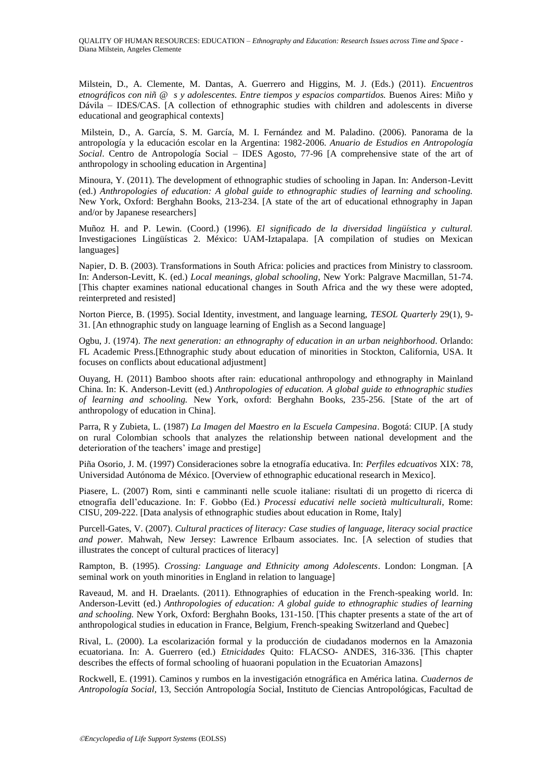Milstein, D., A. Clemente, M. Dantas, A. Guerrero and Higgins, M. J. (Eds.) (2011). *Encuentros etnográficos con niñ @ s y adolescentes. Entre tiempos y espacios compartidos.* Buenos Aires: Miño y Dávila – IDES/CAS. [A collection of ethnographic studies with children and adolescents in diverse educational and geographical contexts]

Milstein, D., A. García, S. M. García, M. I. Fernández and M. Paladino. (2006). Panorama de la antropología y la educación escolar en la Argentina: 1982-2006. *Anuario de Estudios en Antropología Social*. Centro de Antropología Social – IDES Agosto, 77-96 [A comprehensive state of the art of anthropology in schooling education in Argentina]

Minoura, Y. (2011). The development of ethnographic studies of schooling in Japan. In: Anderson-Levitt (ed.) *Anthropologies of education: A global guide to ethnographic studies of learning and schooling.*  New York, Oxford: Berghahn Books, 213-234. [A state of the art of educational ethnography in Japan and/or by Japanese researchers]

Muñoz H. and P. Lewin. (Coord.) (1996). *El significado de la diversidad lingüística y cultural.* Investigaciones Lingüísticas 2. México: UAM-Iztapalapa. [A compilation of studies on Mexican languages]

Napier, D. B. (2003). Transformations in South Africa: policies and practices from Ministry to classroom. In: Anderson-Levitt, K. (ed.) *Local meanings, global schooling*, New York: Palgrave Macmillan, 51-74. [This chapter examines national educational changes in South Africa and the wy these were adopted, reinterpreted and resisted]

Norton Pierce, B. (1995). Social Identity, investment, and language learning, *TESOL Quarterly* 29(1), 9- 31. [An ethnographic study on language learning of English as a Second language]

Ogbu, J. (1974). *The next generation: an ethnography of education in an urban neighborhood*. Orlando: FL Academic Press.[Ethnographic study about education of minorities in Stockton, California, USA. It focuses on conflicts about educational adjustment]

Ouyang, H. (2011) Bamboo shoots after rain: educational anthropology and ethnography in Mainland China. In: K. Anderson-Levitt (ed.) *Anthropologies of education. A global guide to ethnographic studies of learning and schooling.* New York, oxford: Berghahn Books, 235-256. [State of the art of anthropology of education in China].

Parra, R y Zubieta, L. (1987) *La Imagen del Maestro en la Escuela Campesina*. Bogotá: CIUP. [A study on rural Colombian schools that analyzes the relationship between national development and the deterioration of the teachers' image and prestige]

Piña Osorio, J. M. (1997) Consideraciones sobre la etnografía educativa. In: *Perfiles edcuativos* XIX: 78, Universidad Autónoma de México. [Overview of ethnographic educational research in Mexico].

Piasere, L. (2007) Rom, sinti e camminanti nelle scuole italiane: risultati di un progetto di ricerca di etnografía dell'educazione. In: F. Gobbo (Ed.) *Processi educativi nelle società multiculturali*, Rome: CISU, 209-222. [Data analysis of ethnographic studies about education in Rome, Italy]

Purcell-Gates, V. (2007). *Cultural practices of literacy: Case studies of language, literacy social practice and power.* Mahwah, New Jersey: Lawrence Erlbaum associates. Inc. [A selection of studies that illustrates the concept of cultural practices of literacy]

Rampton, B. (1995). *Crossing: Language and Ethnicity among Adolescents*. London: Longman. [A seminal work on youth minorities in England in relation to language]

Raveaud, M. and H. Draelants. (2011). Ethnographies of education in the French-speaking world. In: Anderson-Levitt (ed.) *Anthropologies of education: A global guide to ethnographic studies of learning and schooling.* New York, Oxford: Berghahn Books, 131-150. [This chapter presents a state of the art of anthropological studies in education in France, Belgium, French-speaking Switzerland and Quebec]

Rival, L. (2000). La escolarización formal y la producción de ciudadanos modernos en la Amazonia ecuatoriana. In: A. Guerrero (ed.) *Etnicidades* Quito: FLACSO- ANDES, 316-336. [This chapter describes the effects of formal schooling of huaorani population in the Ecuatorian Amazons]

Rockwell, E. (1991). Caminos y rumbos en la investigación etnográfica en América latina. *Cuadernos de Antropología Social,* 13, Sección Antropología Social, Instituto de Ciencias Antropológicas, Facultad de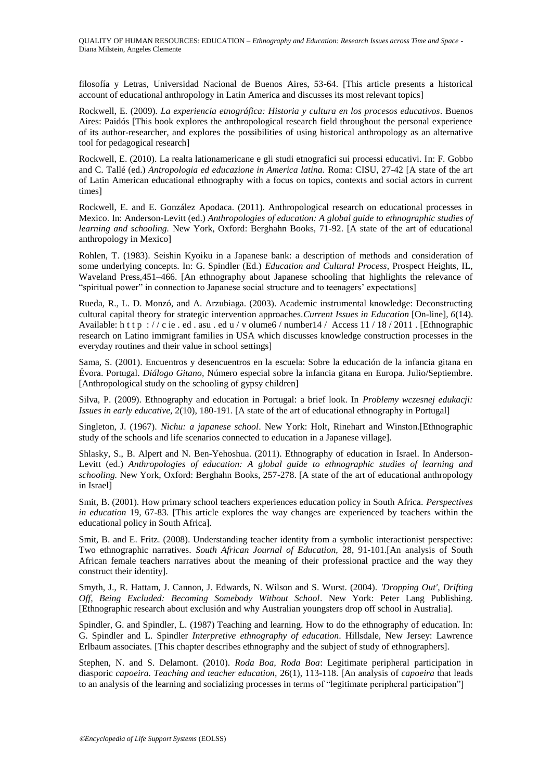filosofía y Letras, Universidad Nacional de Buenos Aires, 53-64. [This article presents a historical account of educational anthropology in Latin America and discusses its most relevant topics]

Rockwell, E. (2009). *La experiencia etnográfica: Historia y cultura en los procesos educativos*. Buenos Aires: Paidós [This book explores the anthropological research field throughout the personal experience of its author-researcher, and explores the possibilities of using historical anthropology as an alternative tool for pedagogical research]

Rockwell, E. (2010). La realta lationamericane e gli studi etnografici sui processi educativi. In: F. Gobbo and C. Tallé (ed.) *Antropologia ed educazione in America latina.* Roma: CISU, 27-42 [A state of the art of Latin American educational ethnography with a focus on topics, contexts and social actors in current times]

Rockwell, E. and E. González Apodaca. (2011). Anthropological research on educational processes in Mexico. In: Anderson-Levitt (ed.) *Anthropologies of education: A global guide to ethnographic studies of learning and schooling.* New York, Oxford: Berghahn Books, 71-92. [A state of the art of educational anthropology in Mexico]

Rohlen, T. (1983). Seishin Kyoiku in a Japanese bank: a description of methods and consideration of some underlying concepts. In: G. Spindler (Ed.) *Education and Cultural Process*, Prospect Heights, IL, Waveland Press,451–466. [An ethnography about Japanese schooling that highlights the relevance of "spiritual power" in connection to Japanese social structure and to teenagers' expectations]

Rueda, R., L. D. Monzó, and A. Arzubiaga. (2003). Academic instrumental knowledge: Deconstructing cultural capital theory for strategic intervention approaches.*Current Issues in Education* [On-line], *6*(14). Available: h t t p :  $//$  c ie . ed . asu . ed u / v olume 6 / number 14 / Access 11 / 18 / 2011 . [Ethnographic research on Latino immigrant families in USA which discusses knowledge construction processes in the everyday routines and their value in school settings]

Sama, S. (2001). Encuentros y desencuentros en la escuela: Sobre la educación de la infancia gitana en Évora. Portugal. *Diálogo Gitano,* Número especial sobre la infancia gitana en Europa. Julio/Septiembre. [Anthropological study on the schooling of gypsy children]

Silva, P. (2009). Ethnography and education in Portugal: a brief look. In *Problemy wczesnej edukacji: Issues in early educative,* 2(10), 180-191. [A state of the art of educational ethnography in Portugal]

Singleton, J. (1967). *Nichu: a japanese school*. New York: Holt, Rinehart and Winston.[Ethnographic study of the schools and life scenarios connected to education in a Japanese village].

Shlasky, S., B. Alpert and N. Ben-Yehoshua. (2011). Ethnography of education in Israel. In Anderson-Levitt (ed.) *Anthropologies of education: A global guide to ethnographic studies of learning and schooling.* New York, Oxford: Berghahn Books, 257-278. [A state of the art of educational anthropology in Israel]

Smit, B. (2001). How primary school teachers experiences education policy in South Africa. *Perspectives in education* 19, 67-83. [This article explores the way changes are experienced by teachers within the educational policy in South Africa].

Smit, B. and E. Fritz. (2008). Understanding teacher identity from a symbolic interactionist perspective: Two ethnographic narratives. *South African Journal of Education,* 28, 91-101.[An analysis of South African female teachers narratives about the meaning of their professional practice and the way they construct their identity].

Smyth, J., R. Hattam, J. Cannon, J. Edwards, N. Wilson and S. Wurst. (2004). *'Dropping Out', Drifting Off, Being Excluded: Becoming Somebody Without School*. New York: Peter Lang Publishing. [Ethnographic research about exclusión and why Australian youngsters drop off school in Australia].

Spindler, G. and Spindler, L. (1987) Teaching and learning. How to do the ethnography of education. In: G. Spindler and L. Spindler *Interpretive ethnography of education*. Hillsdale, New Jersey: Lawrence Erlbaum associates*.* [This chapter describes ethnography and the subject of study of ethnographers].

Stephen, N. and S. Delamont. (2010). *Roda Boa, Roda Boa*: Legitimate peripheral participation in diasporic *capoeira. Teaching and teacher education,* 26(1), 113-118. [An analysis of *capoeira* that leads to an analysis of the learning and socializing processes in terms of "legitimate peripheral participation"]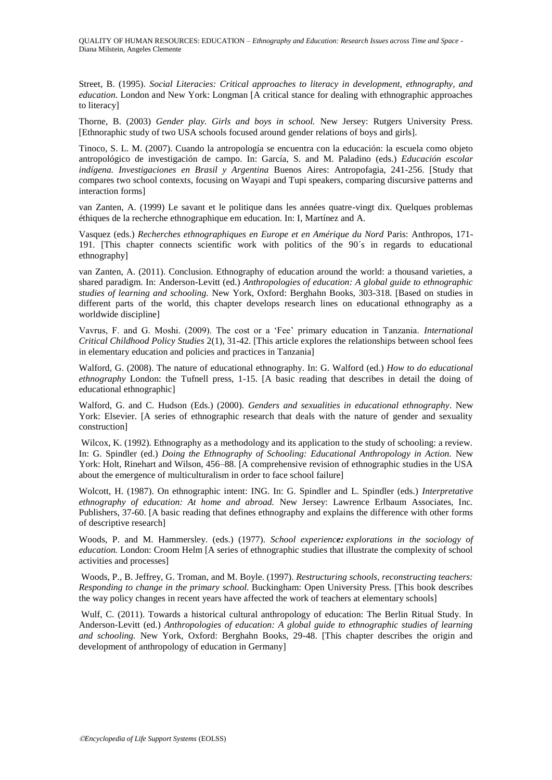Street, B. (1995). *Social Literacies: Critical approaches to literacy in development, ethnography, and education*. London and New York: Longman [A critical stance for dealing with ethnographic approaches to literacy]

Thorne, B. (2003) *Gender play. Girls and boys in school.* New Jersey: Rutgers University Press. [Ethnoraphic study of two USA schools focused around gender relations of boys and girls].

Tinoco, S. L. M. (2007). Cuando la antropología se encuentra con la educación: la escuela como objeto antropológico de investigación de campo. In: García, S. and M. Paladino (eds.) *Educación escolar indígena. Investigaciones en Brasil y Argentina* Buenos Aires: Antropofagia, 241-256. [Study that compares two school contexts, focusing on Wayapi and Tupi speakers, comparing discursive patterns and interaction forms]

van Zanten, A. (1999) Le savant et le politique dans les années quatre-vingt dix. Quelques problemas éthiques de la recherche ethnographique em education. In: I, Martínez and A.

Vasquez (eds.) *Recherches ethnographiques en Europe et en Amérique du Nord* Paris: Anthropos, 171- 191. [This chapter connects scientific work with politics of the 90´s in regards to educational ethnography]

van Zanten, A. (2011). Conclusion. Ethnography of education around the world: a thousand varieties, a shared paradigm. In: Anderson-Levitt (ed.) *Anthropologies of education: A global guide to ethnographic studies of learning and schooling.* New York, Oxford: Berghahn Books, 303-318. [Based on studies in different parts of the world, this chapter develops research lines on educational ethnography as a worldwide discipline]

Vavrus, F. and G. Moshi. (2009). The cost or a ‗Fee' primary education in Tanzania. *International Critical Childhood Policy Studies* 2(1)*,* 31-42. [This article explores the relationships between school fees in elementary education and policies and practices in Tanzania]

Walford, G. (2008). The nature of educational ethnography. In: G. Walford (ed.) *How to do educational ethnography* London: the Tufnell press, 1-15. [A basic reading that describes in detail the doing of educational ethnographic]

Walford, G. and C. Hudson (Eds.) (2000). *Genders and sexualities in educational ethnography*. New York: Elsevier. [A series of ethnographic research that deals with the nature of gender and sexuality construction]

Wilcox, K. (1992). Ethnography as a methodology and its application to the study of schooling: a review. In: G. Spindler (ed.) *Doing the Ethnography of Schooling: Educational Anthropology in Action.* New York: Holt, Rinehart and Wilson, 456–88. [A comprehensive revision of ethnographic studies in the USA about the emergence of multiculturalism in order to face school failure]

Wolcott, H. (1987). On ethnographic intent: ING. In: G. Spindler and L. Spindler (eds.) *Interpretative ethnography of education: At home and abroad.* New Jersey: Lawrence Erlbaum Associates, Inc. Publishers, 37-60. [A basic reading that defines ethnography and explains the difference with other forms of descriptive research]

Woods, P. and M. Hammersley. (eds.) (1977). *School experience: explorations in the sociology of education.* London: Croom Helm [A series of ethnographic studies that illustrate the complexity of school activities and processes]

Woods, P., B. Jeffrey, G. Troman, and M. Boyle. (1997). *Restructuring schools, reconstructing teachers: Responding to change in the primary school.* Buckingham: Open University Press. [This book describes the way policy changes in recent years have affected the work of teachers at elementary schools]

Wulf, C. (2011). Towards a historical cultural anthropology of education: The Berlin Ritual Study. In Anderson-Levitt (ed.) *Anthropologies of education: A global guide to ethnographic studies of learning and schooling.* New York, Oxford: Berghahn Books, 29-48. [This chapter describes the origin and development of anthropology of education in Germany]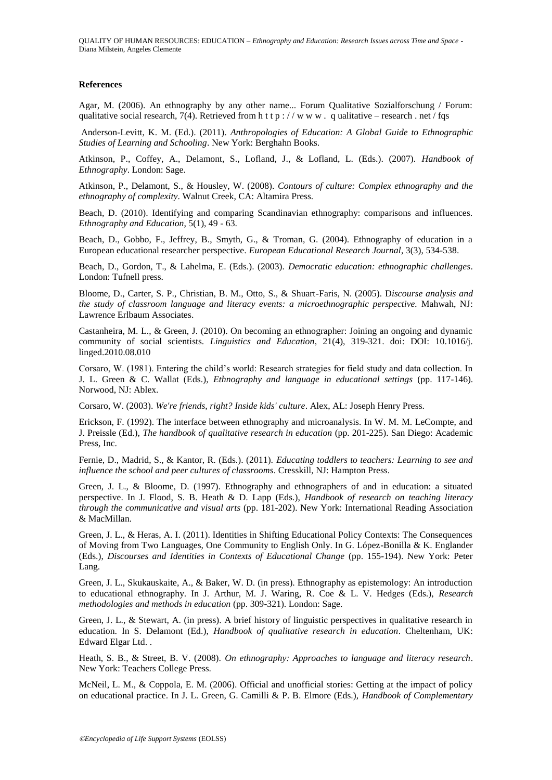QUALITY OF HUMAN RESOURCES: EDUCATION – *Ethnography and Education: Research Issues across Time and Space* - Diana Milstein, Angeles Clemente

#### **References**

Agar, M. (2006). An ethnography by any other name... Forum Qualitative Sozialforschung / Forum: qualitative social research, 7(4). Retrieved from h t t p :  $\ell$  w w w . q ualitative – research . net  $\ell$  fqs

Anderson-Levitt, K. M. (Ed.). (2011). *Anthropologies of Education: A Global Guide to Ethnographic Studies of Learning and Schooling*. New York: Berghahn Books.

Atkinson, P., Coffey, A., Delamont, S., Lofland, J., & Lofland, L. (Eds.). (2007). *Handbook of Ethnography*. London: Sage.

Atkinson, P., Delamont, S., & Housley, W. (2008). *Contours of culture: Complex ethnography and the ethnography of complexity*. Walnut Creek, CA: Altamira Press.

Beach, D. (2010). Identifying and comparing Scandinavian ethnography: comparisons and influences. *Ethnography and Education*, 5(1), 49 - 63.

Beach, D., Gobbo, F., Jeffrey, B., Smyth, G., & Troman, G. (2004). Ethnography of education in a European educational researcher perspective. *European Educational Research Journal*, 3(3), 534-538.

Beach, D., Gordon, T., & Lahelma, E. (Eds.). (2003). *Democratic education: ethnographic challenges*. London: Tufnell press.

Bloome, D., Carter, S. P., Christian, B. M., Otto, S., & Shuart-Faris, N. (2005). D*iscourse analysis and the study of classroom language and literacy events: a microethnographic perspective.* Mahwah, NJ: Lawrence Erlbaum Associates.

Castanheira, M. L., & Green, J. (2010). On becoming an ethnographer: Joining an ongoing and dynamic community of social scientists. *Linguistics and Education*, 21(4), 319-321. doi: DOI: 10.1016/j. linged.2010.08.010

Corsaro, W. (1981). Entering the child's world: Research strategies for field study and data collection. In J. L. Green & C. Wallat (Eds.), *Ethnography and language in educational settings* (pp. 117-146). Norwood, NJ: Ablex.

Corsaro, W. (2003). *We're friends, right? Inside kids' culture*. Alex, AL: Joseph Henry Press.

Erickson, F. (1992). The interface between ethnography and microanalysis. In W. M. M. LeCompte, and J. Preissle (Ed.), *The handbook of qualitative research in education* (pp. 201-225). San Diego: Academic Press, Inc.

Fernie, D., Madrid, S., & Kantor, R. (Eds.). (2011). *Educating toddlers to teachers: Learning to see and influence the school and peer cultures of classrooms*. Cresskill, NJ: Hampton Press.

Green, J. L., & Bloome, D. (1997). Ethnography and ethnographers of and in education: a situated perspective. In J. Flood, S. B. Heath & D. Lapp (Eds.), *Handbook of research on teaching literacy through the communicative and visual arts* (pp. 181-202). New York: International Reading Association & MacMillan.

Green, J. L., & Heras, A. I. (2011). Identities in Shifting Educational Policy Contexts: The Consequences of Moving from Two Languages, One Community to English Only. In G. López-Bonilla & K. Englander (Eds.), *Discourses and Identities in Contexts of Educational Change* (pp. 155-194). New York: Peter Lang.

Green, J. L., Skukauskaite, A., & Baker, W. D. (in press). Ethnography as epistemology: An introduction to educational ethnography. In J. Arthur, M. J. Waring, R. Coe & L. V. Hedges (Eds.), *Research methodologies and methods in education* (pp. 309-321). London: Sage.

Green, J. L., & Stewart, A. (in press). A brief history of linguistic perspectives in qualitative research in education. In S. Delamont (Ed.), *Handbook of qualitative research in education*. Cheltenham, UK: Edward Elgar Ltd. .

Heath, S. B., & Street, B. V. (2008). *On ethnography: Approaches to language and literacy research*. New York: Teachers College Press.

McNeil, L. M., & Coppola, E. M. (2006). Official and unofficial stories: Getting at the impact of policy on educational practice. In J. L. Green, G. Camilli & P. B. Elmore (Eds.), *Handbook of Complementary*